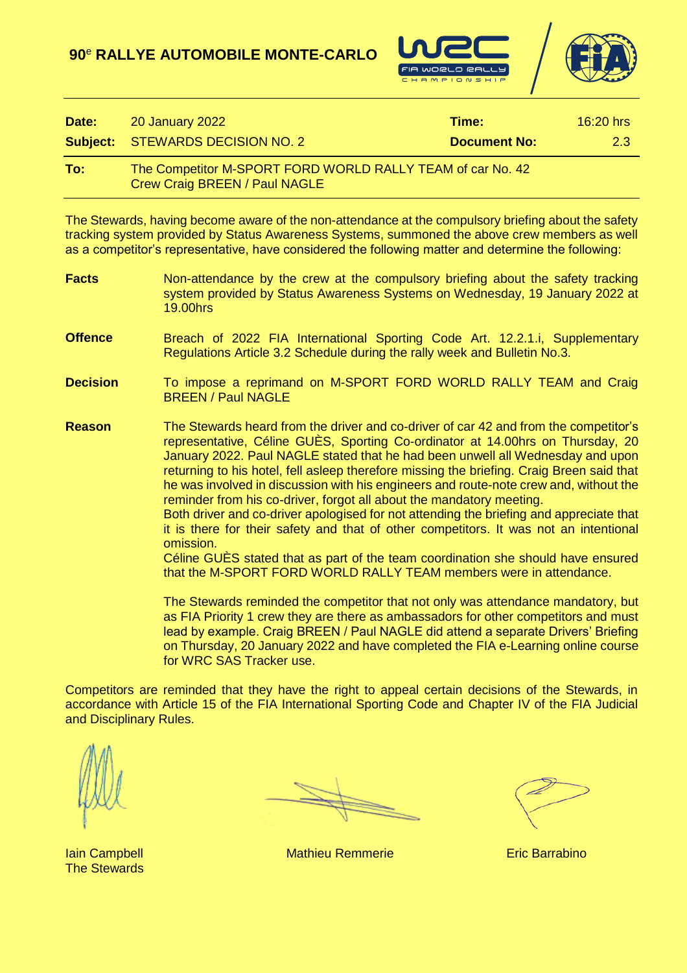



| Date: | <b>20 January 2022</b>                                                                             | Time:               | $16:20$ hrs |
|-------|----------------------------------------------------------------------------------------------------|---------------------|-------------|
|       | <b>Subject: STEWARDS DECISION NO. 2</b>                                                            | <b>Document No:</b> | 2.3         |
| To:   | The Competitor M-SPORT FORD WORLD RALLY TEAM of car No. 42<br><b>Crew Craig BREEN / Paul NAGLE</b> |                     |             |

The Stewards, having become aware of the non-attendance at the compulsory briefing about the safety tracking system provided by Status Awareness Systems, summoned the above crew members as well as a competitor's representative, have considered the following matter and determine the following:

- **Facts** Non-attendance by the crew at the compulsory briefing about the safety tracking system provided by Status Awareness Systems on Wednesday, 19 January 2022 at 19.00hrs
- **Offence** Breach of 2022 FIA International Sporting Code Art. 12.2.1.i, Supplementary Regulations Article 3.2 Schedule during the rally week and Bulletin No.3.
- **Decision** To impose a reprimand on M-SPORT FORD WORLD RALLY TEAM and Craig BREEN / Paul NAGLE
- **Reason** The Stewards heard from the driver and co-driver of car 42 and from the competitor's representative, Céline GUÈS, Sporting Co-ordinator at 14.00hrs on Thursday, 20 January 2022. Paul NAGLE stated that he had been unwell all Wednesday and upon returning to his hotel, fell asleep therefore missing the briefing. Craig Breen said that he was involved in discussion with his engineers and route-note crew and, without the reminder from his co-driver, forgot all about the mandatory meeting.

Both driver and co-driver apologised for not attending the briefing and appreciate that it is there for their safety and that of other competitors. It was not an intentional omission.

Céline GUÈS stated that as part of the team coordination she should have ensured that the M-SPORT FORD WORLD RALLY TEAM members were in attendance.

The Stewards reminded the competitor that not only was attendance mandatory, but as FIA Priority 1 crew they are there as ambassadors for other competitors and must lead by example. Craig BREEN / Paul NAGLE did attend a separate Drivers' Briefing on Thursday, 20 January 2022 and have completed the FIA e-Learning online course for WRC SAS Tracker use.

Competitors are reminded that they have the right to appeal certain decisions of the Stewards, in accordance with Article 15 of the FIA International Sporting Code and Chapter IV of the FIA Judicial and Disciplinary Rules.

The Stewards

**Iain Campbell Mathieu Remmerie Eric Barrabino**